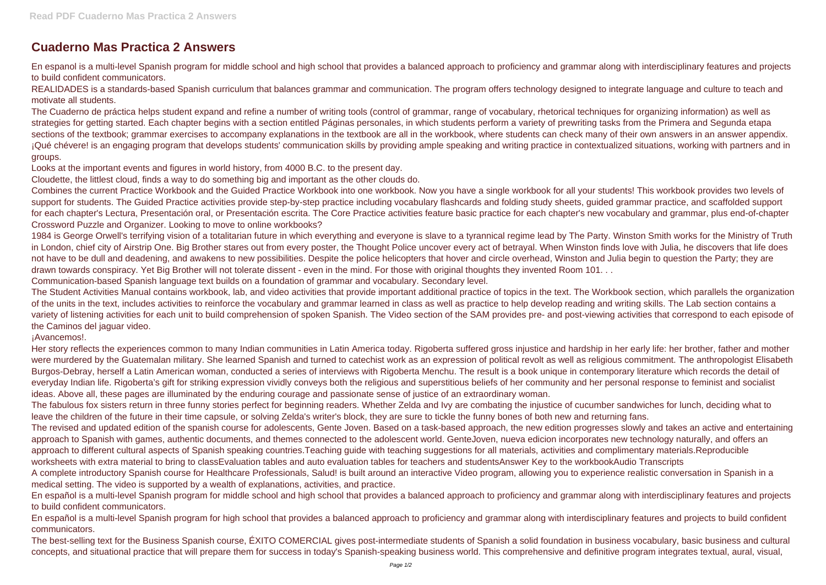## **Cuaderno Mas Practica 2 Answers**

En espanol is a multi-level Spanish program for middle school and high school that provides a balanced approach to proficiency and grammar along with interdisciplinary features and projects to build confident communicators.

REALIDADES is a standards-based Spanish curriculum that balances grammar and communication. The program offers technology designed to integrate language and culture to teach and motivate all students.

The Cuaderno de práctica helps student expand and refine a number of writing tools (control of grammar, range of vocabulary, rhetorical techniques for organizing information) as well as strategies for getting started. Each chapter begins with a section entitled Páginas personales, in which students perform a variety of prewriting tasks from the Primera and Segunda etapa sections of the textbook; grammar exercises to accompany explanations in the textbook are all in the workbook, where students can check many of their own answers in an answer appendix. ¡Qué chévere! is an engaging program that develops students' communication skills by providing ample speaking and writing practice in contextualized situations, working with partners and in groups.

Looks at the important events and figures in world history, from 4000 B.C. to the present day.

Cloudette, the littlest cloud, finds a way to do something big and important as the other clouds do.

Combines the current Practice Workbook and the Guided Practice Workbook into one workbook. Now you have a single workbook for all your students! This workbook provides two levels of support for students. The Guided Practice activities provide step-by-step practice including vocabulary flashcards and folding study sheets, quided grammar practice, and scaffolded support for each chapter's Lectura, Presentación oral, or Presentación escrita. The Core Practice activities feature basic practice for each chapter's new vocabulary and grammar, plus end-of-chapter Crossword Puzzle and Organizer. Looking to move to online workbooks?

1984 is George Orwell's terrifying vision of a totalitarian future in which everything and everyone is slave to a tyrannical regime lead by The Party. Winston Smith works for the Ministry of Truth in London, chief city of Airstrip One. Big Brother stares out from every poster, the Thought Police uncover every act of betrayal. When Winston finds love with Julia, he discovers that life does not have to be dull and deadening, and awakens to new possibilities. Despite the police helicopters that hover and circle overhead, Winston and Julia begin to question the Party; they are drawn towards conspiracy. Yet Big Brother will not tolerate dissent - even in the mind. For those with original thoughts they invented Room 101. . . Communication-based Spanish language text builds on a foundation of grammar and vocabulary. Secondary level.

The Student Activities Manual contains workbook, lab, and video activities that provide important additional practice of topics in the text. The Workbook section, which parallels the organization of the units in the text, includes activities to reinforce the vocabulary and grammar learned in class as well as practice to help develop reading and writing skills. The Lab section contains a variety of listening activities for each unit to build comprehension of spoken Spanish. The Video section of the SAM provides pre- and post-viewing activities that correspond to each episode of the Caminos del jaguar video.

¡Avancemos!.

Her story reflects the experiences common to many Indian communities in Latin America today. Rigoberta suffered gross injustice and hardship in her early life: her brother, father and mother were murdered by the Guatemalan military. She learned Spanish and turned to catechist work as an expression of political revolt as well as religious commitment. The anthropologist Elisabeth Burgos-Debray, herself a Latin American woman, conducted a series of interviews with Rigoberta Menchu. The result is a book unique in contemporary literature which records the detail of everyday Indian life. Rigoberta's gift for striking expression vividly conveys both the religious and superstitious beliefs of her community and her personal response to feminist and socialist ideas. Above all, these pages are illuminated by the enduring courage and passionate sense of justice of an extraordinary woman.

The fabulous fox sisters return in three funny stories perfect for beginning readers. Whether Zelda and Ivy are combating the injustice of cucumber sandwiches for lunch, deciding what to leave the children of the future in their time capsule, or solving Zelda's writer's block, they are sure to tickle the funny bones of both new and returning fans. The revised and updated edition of the spanish course for adolescents, Gente Joven. Based on a task-based approach, the new edition progresses slowly and takes an active and entertaining approach to Spanish with games, authentic documents, and themes connected to the adolescent world. GenteJoven, nueva edicion incorporates new technology naturally, and offers an approach to different cultural aspects of Spanish speaking countries.Teaching guide with teaching suggestions for all materials, activities and complimentary materials.Reproducible worksheets with extra material to bring to classEvaluation tables and auto evaluation tables for teachers and studentsAnswer Key to the workbookAudio Transcripts A complete introductory Spanish course for Healthcare Professionals, Salud! is built around an interactive Video program, allowing you to experience realistic conversation in Spanish in a medical setting. The video is supported by a wealth of explanations, activities, and practice.

En español is a multi-level Spanish program for middle school and high school that provides a balanced approach to proficiency and grammar along with interdisciplinary features and projects to build confident communicators.

En español is a multi-level Spanish program for high school that provides a balanced approach to proficiency and grammar along with interdisciplinary features and projects to build confident communicators.

The best-selling text for the Business Spanish course, ÉXITO COMERCIAL gives post-intermediate students of Spanish a solid foundation in business vocabulary, basic business and cultural concepts, and situational practice that will prepare them for success in today's Spanish-speaking business world. This comprehensive and definitive program integrates textual, aural, visual,